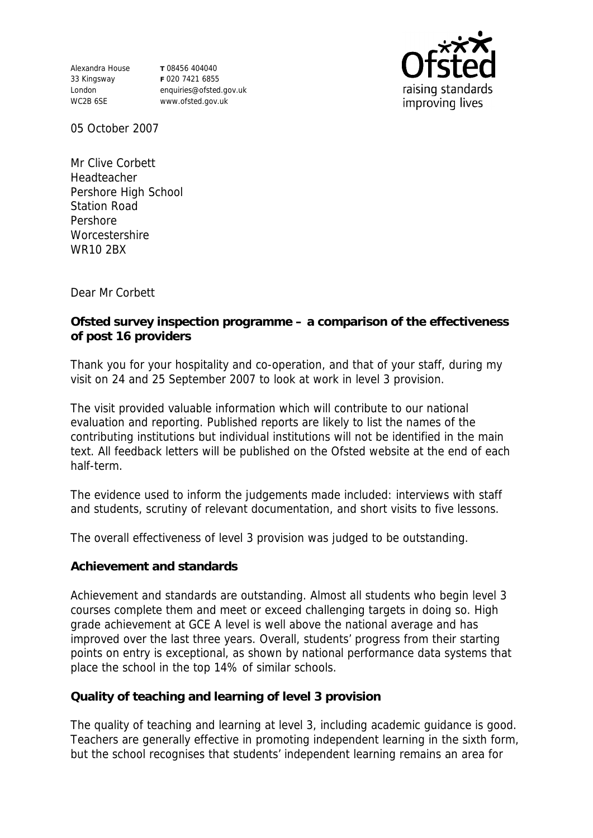Alexandra House 33 Kingsway London WC2B 6SE

**T** 08456 404040 **F** 020 7421 6855 enquiries@ofsted.gov.uk www.ofsted.gov.uk



05 October 2007

Mr Clive Corbett Headteacher Pershore High School Station Road Pershore **Worcestershire** WR10 2BX

Dear Mr Corbett

**Ofsted survey inspection programme – a comparison of the effectiveness of post 16 providers** 

Thank you for your hospitality and co-operation, and that of your staff, during my visit on 24 and 25 September 2007 to look at work in level 3 provision.

The visit provided valuable information which will contribute to our national evaluation and reporting. Published reports are likely to list the names of the contributing institutions but individual institutions will not be identified in the main text. All feedback letters will be published on the Ofsted website at the end of each half-term.

The evidence used to inform the judgements made included: interviews with staff and students, scrutiny of relevant documentation, and short visits to five lessons.

The overall effectiveness of level 3 provision was judged to be outstanding.

**Achievement and standards**

Achievement and standards are outstanding. Almost all students who begin level 3 courses complete them and meet or exceed challenging targets in doing so. High grade achievement at GCE A level is well above the national average and has improved over the last three years. Overall, students' progress from their starting points on entry is exceptional, as shown by national performance data systems that place the school in the top 14% of similar schools.

**Quality of teaching and learning of level 3 provision**

The quality of teaching and learning at level 3, including academic guidance is good. Teachers are generally effective in promoting independent learning in the sixth form, but the school recognises that students' independent learning remains an area for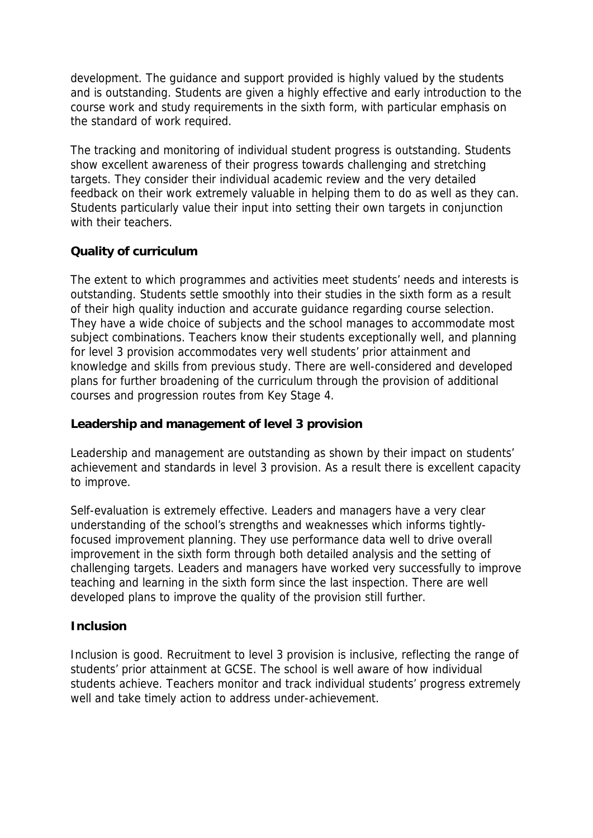development. The guidance and support provided is highly valued by the students and is outstanding. Students are given a highly effective and early introduction to the course work and study requirements in the sixth form, with particular emphasis on the standard of work required.

The tracking and monitoring of individual student progress is outstanding. Students show excellent awareness of their progress towards challenging and stretching targets. They consider their individual academic review and the very detailed feedback on their work extremely valuable in helping them to do as well as they can. Students particularly value their input into setting their own targets in conjunction with their teachers.

## **Quality of curriculum**

The extent to which programmes and activities meet students' needs and interests is outstanding. Students settle smoothly into their studies in the sixth form as a result of their high quality induction and accurate guidance regarding course selection. They have a wide choice of subjects and the school manages to accommodate most subject combinations. Teachers know their students exceptionally well, and planning for level 3 provision accommodates very well students' prior attainment and knowledge and skills from previous study. There are well-considered and developed plans for further broadening of the curriculum through the provision of additional courses and progression routes from Key Stage 4.

## **Leadership and management of level 3 provision**

Leadership and management are outstanding as shown by their impact on students' achievement and standards in level 3 provision. As a result there is excellent capacity to improve.

Self-evaluation is extremely effective. Leaders and managers have a very clear understanding of the school's strengths and weaknesses which informs tightlyfocused improvement planning. They use performance data well to drive overall improvement in the sixth form through both detailed analysis and the setting of challenging targets. Leaders and managers have worked very successfully to improve teaching and learning in the sixth form since the last inspection. There are well developed plans to improve the quality of the provision still further.

## **Inclusion**

Inclusion is good. Recruitment to level 3 provision is inclusive, reflecting the range of students' prior attainment at GCSE. The school is well aware of how individual students achieve. Teachers monitor and track individual students' progress extremely well and take timely action to address under-achievement.